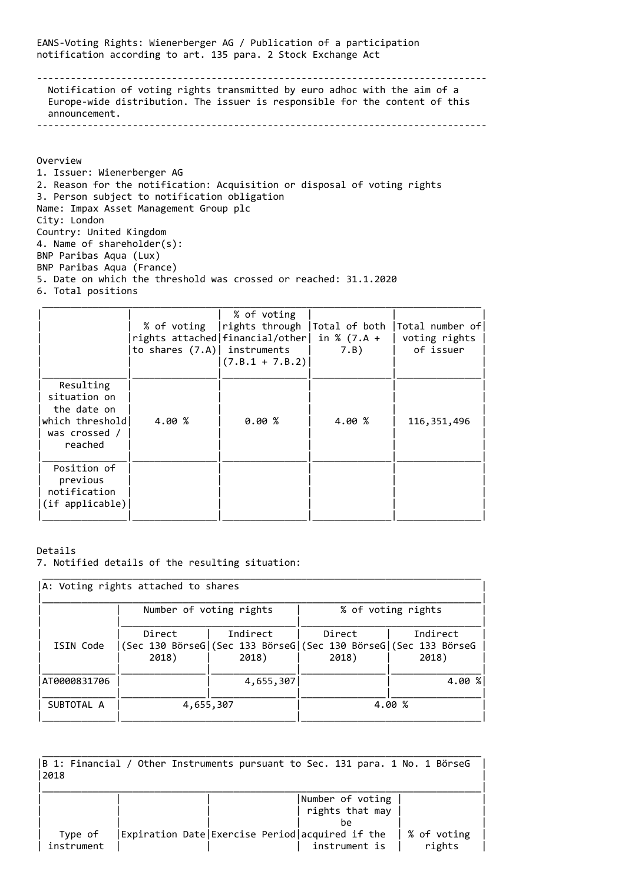EANS-Voting Rights: Wienerberger AG / Publication of a participation notification according to art. 135 para. 2 Stock Exchange Act

-------------------------------------------------------------------------------- Notification of voting rights transmitted by euro adhoc with the aim of a Europe-wide distribution. The issuer is responsible for the content of this announcement. --------------------------------------------------------------------------------

Overview

1. Issuer: Wienerberger AG 2. Reason for the notification: Acquisition or disposal of voting rights 3. Person subject to notification obligation Name: Impax Asset Management Group plc City: London Country: United Kingdom 4. Name of shareholder(s): BNP Paribas Aqua (Lux) BNP Paribas Aqua (France) 5. Date on which the threshold was crossed or reached: 31.1.2020 6. Total positions

|                                                                                         | to shares $(7.A)$ instruments | % of voting<br>rights attached   financial/other   in % (7.A +<br>$(7.B.1 + 7.B.2)$ | 7.B    | % of voting   rights through   Total of both   Total number of<br>voting rights<br>of issuer |
|-----------------------------------------------------------------------------------------|-------------------------------|-------------------------------------------------------------------------------------|--------|----------------------------------------------------------------------------------------------|
| Resulting<br>situation on<br>the date on<br>which threshold<br>was crossed /<br>reached | 4.00 %                        | 0.00%                                                                               | 4.00 % | 116, 351, 496                                                                                |
| Position of<br>previous<br>notification<br>(if applicable)                              |                               |                                                                                     |        |                                                                                              |

Details

<sup>7.</sup> Notified details of the resulting situation:

| A: Voting rights attached to shares |                         |                                                                                      |                    |                   |
|-------------------------------------|-------------------------|--------------------------------------------------------------------------------------|--------------------|-------------------|
|                                     | Number of voting rights |                                                                                      | % of voting rights |                   |
| ISIN Code                           | Direct<br>2018)         | Indirect<br>(Sec 130 BörseG (Sec 133 BörseG (Sec 130 BörseG (Sec 133 BörseG<br>2018) | Direct<br>2018)    | Indirect<br>2018) |
| AT0000831706                        |                         | 4,655,307                                                                            |                    | 4.00 %            |
| SUBTOTAL A                          | 4,655,307               |                                                                                      |                    | 4.00 %            |

| B 1: Financial / Other Instruments pursuant to Sec. 131 para. 1 No. 1 BörseG<br>2018 |                                                 |                                     |                       |  |
|--------------------------------------------------------------------------------------|-------------------------------------------------|-------------------------------------|-----------------------|--|
|                                                                                      |                                                 | Number of voting<br>rights that may |                       |  |
|                                                                                      |                                                 | he                                  |                       |  |
| Type of<br>instrument                                                                | Expiration Date Exercise Period acquired if the | instrument is                       | % of voting<br>rights |  |

\_\_\_\_\_\_\_\_\_\_\_\_\_\_\_\_\_\_\_\_\_\_\_\_\_\_\_\_\_\_\_\_\_\_\_\_\_\_\_\_\_\_\_\_\_\_\_\_\_\_\_\_\_\_\_\_\_\_\_\_\_\_\_\_\_\_\_\_\_\_\_\_\_\_\_\_\_\_